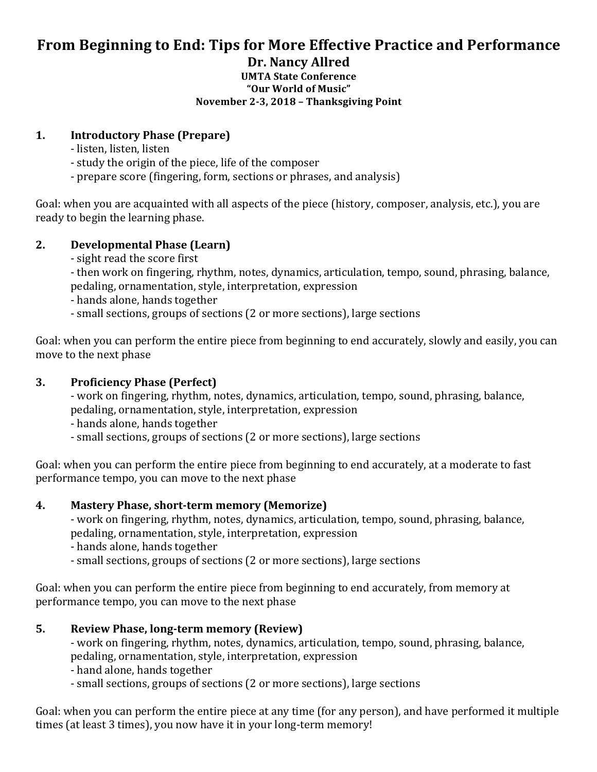## From Beginning to End: Tips for More Effective Practice and Performance **Dr. Nancy Allred**

#### **UMTA State Conference "Our World of Music" November 2-3, 2018 – Thanksgiving Point**

### **1. Introductory Phase (Prepare)**

- listen, listen, listen
- study the origin of the piece, life of the composer
- prepare score (fingering, form, sections or phrases, and analysis)

Goal: when you are acquainted with all aspects of the piece (history, composer, analysis, etc.), you are ready to begin the learning phase.

## **2. Developmental Phase (Learn)**

- sight read the score first

- then work on fingering, rhythm, notes, dynamics, articulation, tempo, sound, phrasing, balance, pedaling, ornamentation, style, interpretation, expression

- hands alone, hands together
- small sections, groups of sections (2 or more sections), large sections

Goal: when you can perform the entire piece from beginning to end accurately, slowly and easily, you can move to the next phase

## **3. Proficiency Phase (Perfect)**

- work on fingering, rhythm, notes, dynamics, articulation, tempo, sound, phrasing, balance, pedaling, ornamentation, style, interpretation, expression

- hands alone, hands together
- small sections, groups of sections (2 or more sections), large sections

Goal: when you can perform the entire piece from beginning to end accurately, at a moderate to fast performance tempo, you can move to the next phase

## **4. Mastery Phase, short-term memory (Memorize)**

- work on fingering, rhythm, notes, dynamics, articulation, tempo, sound, phrasing, balance, pedaling, ornamentation, style, interpretation, expression
- hands alone, hands together
- small sections, groups of sections (2 or more sections), large sections

Goal: when you can perform the entire piece from beginning to end accurately, from memory at performance tempo, you can move to the next phase

## **5. Review Phase, long-term memory (Review)**

- work on fingering, rhythm, notes, dynamics, articulation, tempo, sound, phrasing, balance, pedaling, ornamentation, style, interpretation, expression
- hand alone, hands together
- small sections, groups of sections (2 or more sections), large sections

Goal: when you can perform the entire piece at any time (for any person), and have performed it multiple times (at least 3 times), you now have it in your long-term memory!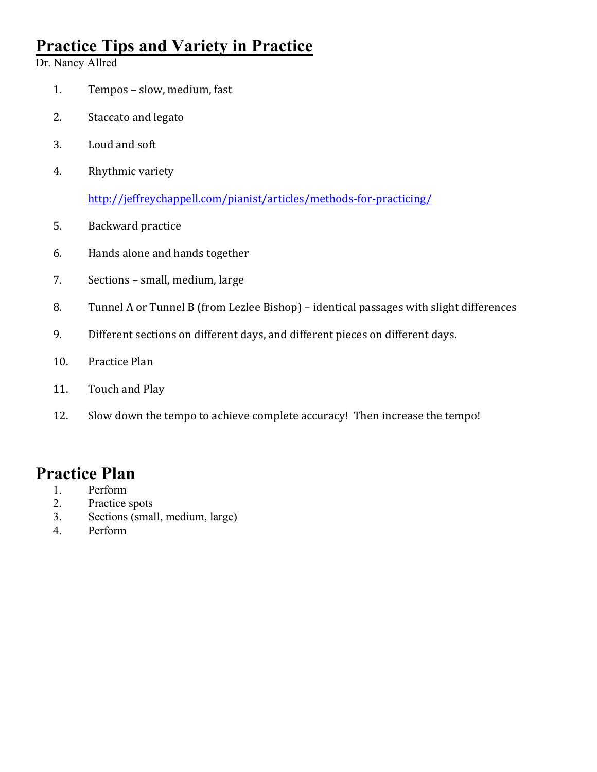# **Practice Tips and Variety in Practice**

Dr. Nancy Allred

- 1. Tempos slow, medium, fast
- 2. Staccato and legato
- 3. Loud and soft
- 4. Rhythmic variety

http://jeffreychappell.com/pianist/articles/methods-for-practicing/

- 5. Backward practice
- 6. Hands alone and hands together
- 7. Sections small, medium, large
- 8. Tunnel A or Tunnel B (from Lezlee Bishop) identical passages with slight differences
- 9. Different sections on different days, and different pieces on different days.
- 10. Practice Plan
- 11. Touch and Play
- 12. Slow down the tempo to achieve complete accuracy! Then increase the tempo!

## **Practice Plan**

- 1. Perform
- 2. Practice spots
- 3. Sections (small, medium, large)
- 4. Perform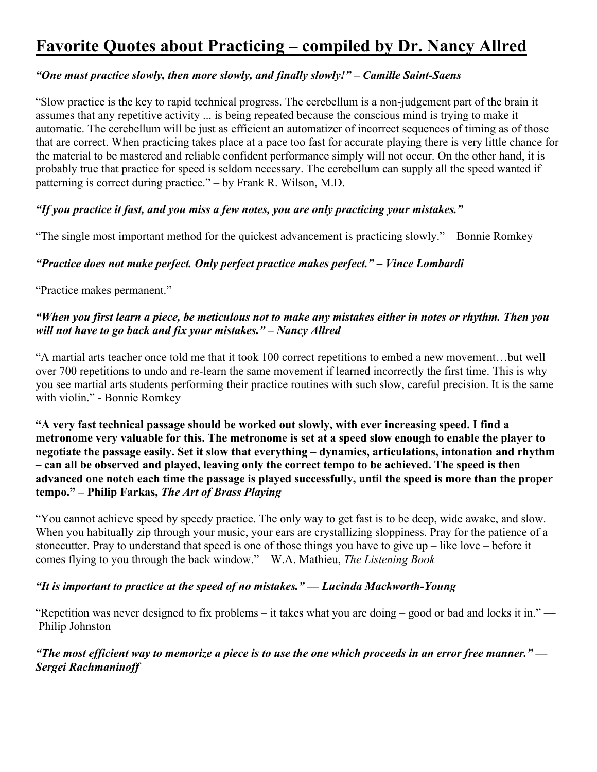# **Favorite Quotes about Practicing – compiled by Dr. Nancy Allred**

## *"One must practice slowly, then more slowly, and finally slowly!" – Camille Saint-Saens*

"Slow practice is the key to rapid technical progress. The cerebellum is a non-judgement part of the brain it assumes that any repetitive activity ... is being repeated because the conscious mind is trying to make it automatic. The cerebellum will be just as efficient an automatizer of incorrect sequences of timing as of those that are correct. When practicing takes place at a pace too fast for accurate playing there is very little chance for the material to be mastered and reliable confident performance simply will not occur. On the other hand, it is probably true that practice for speed is seldom necessary. The cerebellum can supply all the speed wanted if patterning is correct during practice." – by Frank R. Wilson, M.D.

#### *"If you practice it fast, and you miss a few notes, you are only practicing your mistakes."*

"The single most important method for the quickest advancement is practicing slowly." – Bonnie Romkey

#### *"Practice does not make perfect. Only perfect practice makes perfect." – Vince Lombardi*

"Practice makes permanent."

#### *"When you first learn a piece, be meticulous not to make any mistakes either in notes or rhythm. Then you will not have to go back and fix your mistakes." – Nancy Allred*

"A martial arts teacher once told me that it took 100 correct repetitions to embed a new movement…but well over 700 repetitions to undo and re-learn the same movement if learned incorrectly the first time. This is why you see martial arts students performing their practice routines with such slow, careful precision. It is the same with violin." - Bonnie Romkey

**"A very fast technical passage should be worked out slowly, with ever increasing speed. I find a metronome very valuable for this. The metronome is set at a speed slow enough to enable the player to negotiate the passage easily. Set it slow that everything – dynamics, articulations, intonation and rhythm – can all be observed and played, leaving only the correct tempo to be achieved. The speed is then advanced one notch each time the passage is played successfully, until the speed is more than the proper tempo." – Philip Farkas,** *The Art of Brass Playing*

"You cannot achieve speed by speedy practice. The only way to get fast is to be deep, wide awake, and slow. When you habitually zip through your music, your ears are crystallizing sloppiness. Pray for the patience of a stonecutter. Pray to understand that speed is one of those things you have to give up – like love – before it comes flying to you through the back window." – W.A. Mathieu, *The Listening Book*

#### *"It is important to practice at the speed of no mistakes." — Lucinda Mackworth-Young*

"Repetition was never designed to fix problems – it takes what you are doing – good or bad and locks it in." — Philip Johnston

*"The most efficient way to memorize a piece is to use the one which proceeds in an error free manner." — Sergei Rachmaninoff*